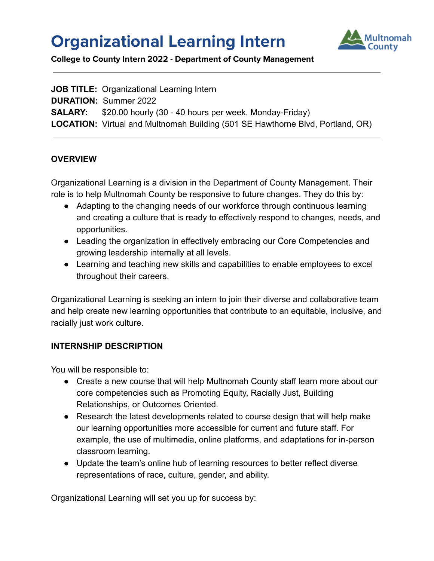# **Organizational Learning Intern**



**College to County Intern 2022 - Department of County Management**

**JOB TITLE:** Organizational Learning Intern **DURATION:** Summer 2022 **SALARY:** \$20.00 hourly (30 - 40 hours per week, Monday-Friday) **LOCATION:** Virtual and Multnomah Building (501 SE Hawthorne Blvd, Portland, OR)

#### **OVERVIEW**

Organizational Learning is a division in the Department of County Management. Their role is to help Multnomah County be responsive to future changes. They do this by:

- Adapting to the changing needs of our workforce through continuous learning and creating a culture that is ready to effectively respond to changes, needs, and opportunities.
- Leading the organization in effectively embracing our Core Competencies and growing leadership internally at all levels.
- Learning and teaching new skills and capabilities to enable employees to excel throughout their careers.

Organizational Learning is seeking an intern to join their diverse and collaborative team and help create new learning opportunities that contribute to an equitable, inclusive, and racially just work culture.

#### **INTERNSHIP DESCRIPTION**

You will be responsible to:

- Create a new course that will help Multnomah County staff learn more about our core competencies such as Promoting Equity, Racially Just, Building Relationships, or Outcomes Oriented.
- Research the latest developments related to course design that will help make our learning opportunities more accessible for current and future staff. For example, the use of multimedia, online platforms, and adaptations for in-person classroom learning.
- Update the team's online hub of learning resources to better reflect diverse representations of race, culture, gender, and ability.

Organizational Learning will set you up for success by: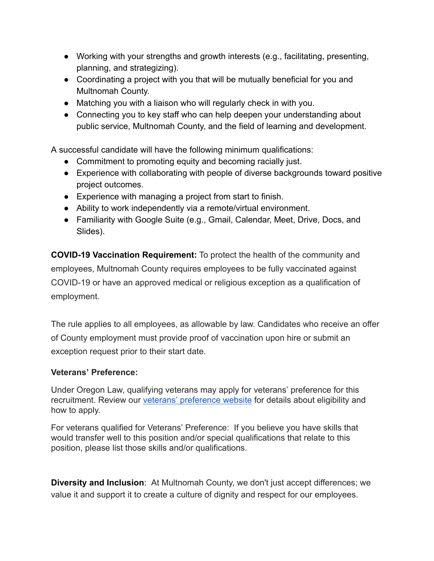- Working with your strengths and growth interests (e.g., facilitating, presenting, planning, and strategizing).
- Coordinating a project with you that will be mutually beneficial for you and Multnomah County.
- Matching you with a liaison who will regularly check in with you.
- Connecting you to key staff who can help deepen your understanding about public service, Multnomah County, and the field of learning and development.

A successful candidate will have the following minimum qualifications:

- Commitment to promoting equity and becoming racially just.
- Experience with collaborating with people of diverse backgrounds toward positive project outcomes.
- Experience with managing a project from start to finish.
- Ability to work independently via a remote/virtual environment.
- Familiarity with Google Suite (e.g., Gmail, Calendar, Meet, Drive, Docs, and Slides).

**COVID-19 Vaccination Requirement:** To protect the health of the community and employees, Multnomah County requires employees to be fully vaccinated against COVID-19 or have an approved medical or religious exception as a qualification of employment.

The rule applies to all employees, as allowable by law. Candidates who receive an offer of County employment must provide proof of vaccination upon hire or submit an exception request prior to their start date.

## **Veterans' Preference:**

Under Oregon Law, qualifying veterans may apply for veterans' preference for this recruitment. Review our [veterans' preference website](http://multco.us/jobs/veterans-preference-information-and-instructions) for details about eligibility and how to apply.

For veterans qualified for Veterans' Preference: If you believe you have skills that would transfer well to this position and/or special qualifications that relate to this position, please list those skills and/or qualifications.

**Diversity and Inclusion**: At Multnomah County, we don't just accept differences; we value it and support it to create a culture of dignity and respect for our employees.